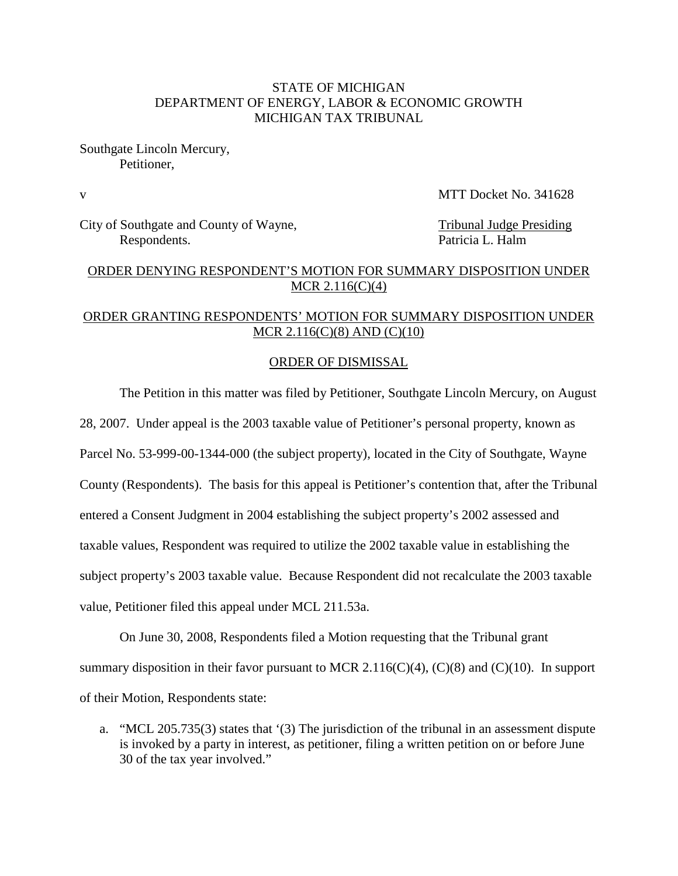### STATE OF MICHIGAN DEPARTMENT OF ENERGY, LABOR & ECONOMIC GROWTH MICHIGAN TAX TRIBUNAL

Southgate Lincoln Mercury, Petitioner,

v MTT Docket No. 341628

City of Southgate and County of Wayne,<br>
Respondents<br>
Respondents Respondents.

### ORDER DENYING RESPONDENT'S MOTION FOR SUMMARY DISPOSITION UNDER MCR 2.116(C)(4)

### ORDER GRANTING RESPONDENTS' MOTION FOR SUMMARY DISPOSITION UNDER MCR 2.116(C)(8) AND (C)(10)

#### ORDER OF DISMISSAL

The Petition in this matter was filed by Petitioner, Southgate Lincoln Mercury, on August

28, 2007. Under appeal is the 2003 taxable value of Petitioner's personal property, known as

Parcel No. 53-999-00-1344-000 (the subject property), located in the City of Southgate, Wayne

County (Respondents). The basis for this appeal is Petitioner's contention that, after the Tribunal

entered a Consent Judgment in 2004 establishing the subject property's 2002 assessed and

taxable values, Respondent was required to utilize the 2002 taxable value in establishing the

subject property's 2003 taxable value. Because Respondent did not recalculate the 2003 taxable

value, Petitioner filed this appeal under MCL 211.53a.

On June 30, 2008, Respondents filed a Motion requesting that the Tribunal grant summary disposition in their favor pursuant to MCR 2.116(C)(4), (C)(8) and (C)(10). In support of their Motion, Respondents state:

a. "MCL 205.735(3) states that '(3) The jurisdiction of the tribunal in an assessment dispute is invoked by a party in interest, as petitioner, filing a written petition on or before June 30 of the tax year involved."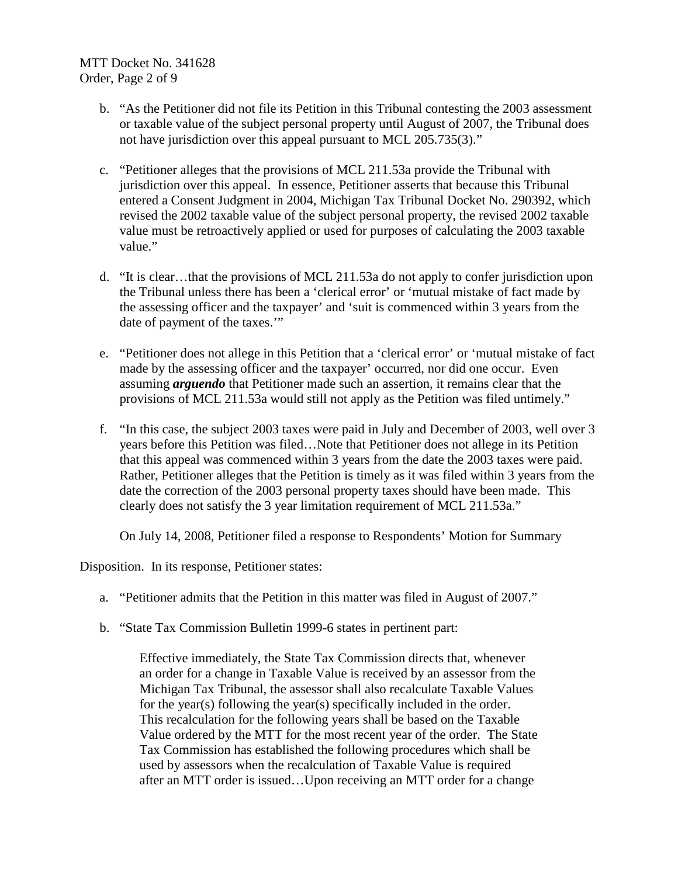- b. "As the Petitioner did not file its Petition in this Tribunal contesting the 2003 assessment or taxable value of the subject personal property until August of 2007, the Tribunal does not have jurisdiction over this appeal pursuant to MCL 205.735(3)."
- c. "Petitioner alleges that the provisions of MCL 211.53a provide the Tribunal with jurisdiction over this appeal. In essence, Petitioner asserts that because this Tribunal entered a Consent Judgment in 2004, Michigan Tax Tribunal Docket No. 290392, which revised the 2002 taxable value of the subject personal property, the revised 2002 taxable value must be retroactively applied or used for purposes of calculating the 2003 taxable value."
- d. "It is clear…that the provisions of MCL 211.53a do not apply to confer jurisdiction upon the Tribunal unless there has been a 'clerical error' or 'mutual mistake of fact made by the assessing officer and the taxpayer' and 'suit is commenced within 3 years from the date of payment of the taxes."
- e. "Petitioner does not allege in this Petition that a 'clerical error' or 'mutual mistake of fact made by the assessing officer and the taxpayer' occurred, nor did one occur. Even assuming *arguendo* that Petitioner made such an assertion, it remains clear that the provisions of MCL 211.53a would still not apply as the Petition was filed untimely."
- f. "In this case, the subject 2003 taxes were paid in July and December of 2003, well over 3 years before this Petition was filed…Note that Petitioner does not allege in its Petition that this appeal was commenced within 3 years from the date the 2003 taxes were paid. Rather, Petitioner alleges that the Petition is timely as it was filed within 3 years from the date the correction of the 2003 personal property taxes should have been made. This clearly does not satisfy the 3 year limitation requirement of MCL 211.53a."

On July 14, 2008, Petitioner filed a response to Respondents' Motion for Summary

Disposition. In its response, Petitioner states:

- a. "Petitioner admits that the Petition in this matter was filed in August of 2007."
- b. "State Tax Commission Bulletin 1999-6 states in pertinent part:

Effective immediately, the State Tax Commission directs that, whenever an order for a change in Taxable Value is received by an assessor from the Michigan Tax Tribunal, the assessor shall also recalculate Taxable Values for the year(s) following the year(s) specifically included in the order. This recalculation for the following years shall be based on the Taxable Value ordered by the MTT for the most recent year of the order. The State Tax Commission has established the following procedures which shall be used by assessors when the recalculation of Taxable Value is required after an MTT order is issued…Upon receiving an MTT order for a change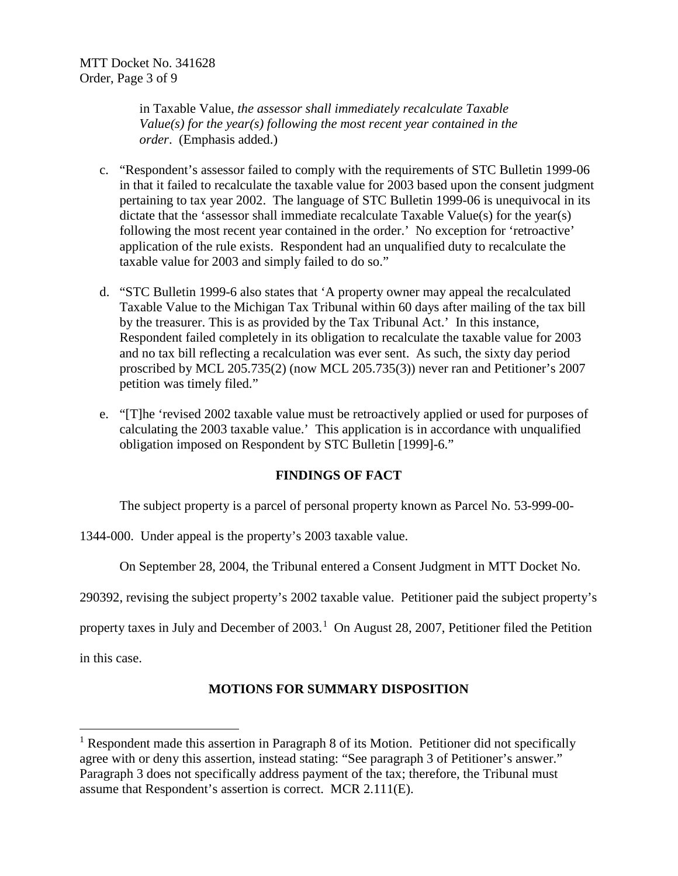in Taxable Value, *the assessor shall immediately recalculate Taxable Value(s) for the year(s) following the most recent year contained in the order*. (Emphasis added.)

- c. "Respondent's assessor failed to comply with the requirements of STC Bulletin 1999-06 in that it failed to recalculate the taxable value for 2003 based upon the consent judgment pertaining to tax year 2002. The language of STC Bulletin 1999-06 is unequivocal in its dictate that the 'assessor shall immediate recalculate Taxable Value(s) for the year(s) following the most recent year contained in the order.' No exception for 'retroactive' application of the rule exists. Respondent had an unqualified duty to recalculate the taxable value for 2003 and simply failed to do so."
- d. "STC Bulletin 1999-6 also states that 'A property owner may appeal the recalculated Taxable Value to the Michigan Tax Tribunal within 60 days after mailing of the tax bill by the treasurer. This is as provided by the Tax Tribunal Act.' In this instance, Respondent failed completely in its obligation to recalculate the taxable value for 2003 and no tax bill reflecting a recalculation was ever sent. As such, the sixty day period proscribed by MCL 205.735(2) (now MCL 205.735(3)) never ran and Petitioner's 2007 petition was timely filed."
- e. "[T]he 'revised 2002 taxable value must be retroactively applied or used for purposes of calculating the 2003 taxable value.' This application is in accordance with unqualified obligation imposed on Respondent by STC Bulletin [1999]-6."

# **FINDINGS OF FACT**

The subject property is a parcel of personal property known as Parcel No. 53-999-00-

1344-000. Under appeal is the property's 2003 taxable value.

On September 28, 2004, the Tribunal entered a Consent Judgment in MTT Docket No.

290392, revising the subject property's 2002 taxable value. Petitioner paid the subject property's

property taxes in July and December of 2003.<sup>[1](#page-2-0)</sup> On August 28, 2007, Petitioner filed the Petition

in this case.

# **MOTIONS FOR SUMMARY DISPOSITION**

<span id="page-2-0"></span><sup>&</sup>lt;sup>1</sup> Respondent made this assertion in Paragraph 8 of its Motion. Petitioner did not specifically agree with or deny this assertion, instead stating: "See paragraph 3 of Petitioner's answer." Paragraph 3 does not specifically address payment of the tax; therefore, the Tribunal must assume that Respondent's assertion is correct. MCR 2.111(E).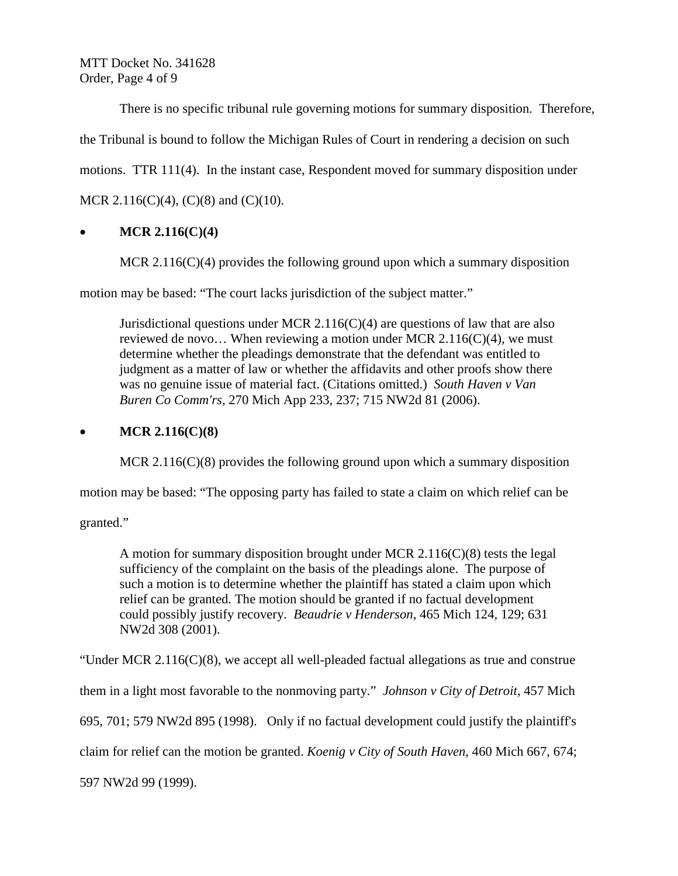MTT Docket No. 341628 Order, Page 4 of 9

There is no specific tribunal rule governing motions for summary disposition. Therefore, the Tribunal is bound to follow the Michigan Rules of Court in rendering a decision on such motions. TTR 111(4). In the instant case, Respondent moved for summary disposition under MCR 2.116(C)(4), (C)(8) and (C)(10).

## • **MCR 2.116(C)(4)**

MCR  $2.116(C)(4)$  provides the following ground upon which a summary disposition

motion may be based: "The court lacks jurisdiction of the subject matter."

Jurisdictional questions under MCR 2.116( $C$ )(4) are questions of law that are also reviewed de novo... When reviewing a motion under MCR 2.116(C)(4), we must determine whether the pleadings demonstrate that the defendant was entitled to judgment as a matter of law or whether the affidavits and other proofs show there was no genuine issue of material fact. (Citations omitted.) *South Haven v Van Buren Co Comm'rs*, 270 Mich App 233, 237; 715 NW2d 81 (2006).

## • **MCR 2.116(C)(8)**

MCR 2.116(C)(8) provides the following ground upon which a summary disposition

motion may be based: "The opposing party has failed to state a claim on which relief can be

granted."

A motion for summary disposition brought under MCR 2.116(C)(8) tests the legal sufficiency of the complaint on the basis of the pleadings alone. The purpose of such a motion is to determine whether the plaintiff has stated a claim upon which relief can be granted. The motion should be granted if no factual development could possibly justify recovery. *Beaudrie v Henderson*, 465 Mich 124, 129; 631 NW2d 308 (2001).

"Under MCR  $2.116(C)(8)$ , we accept all well-pleaded factual allegations as true and construe

them in a light most favorable to the nonmoving party." *Johnson v City of Detroit*, 457 Mich

695, 701; 579 NW2d 895 (1998). Only if no factual development could justify the plaintiff's

claim for relief can the motion be granted. *Koenig v City of South Haven*, 460 Mich 667, 674;

597 NW2d 99 (1999).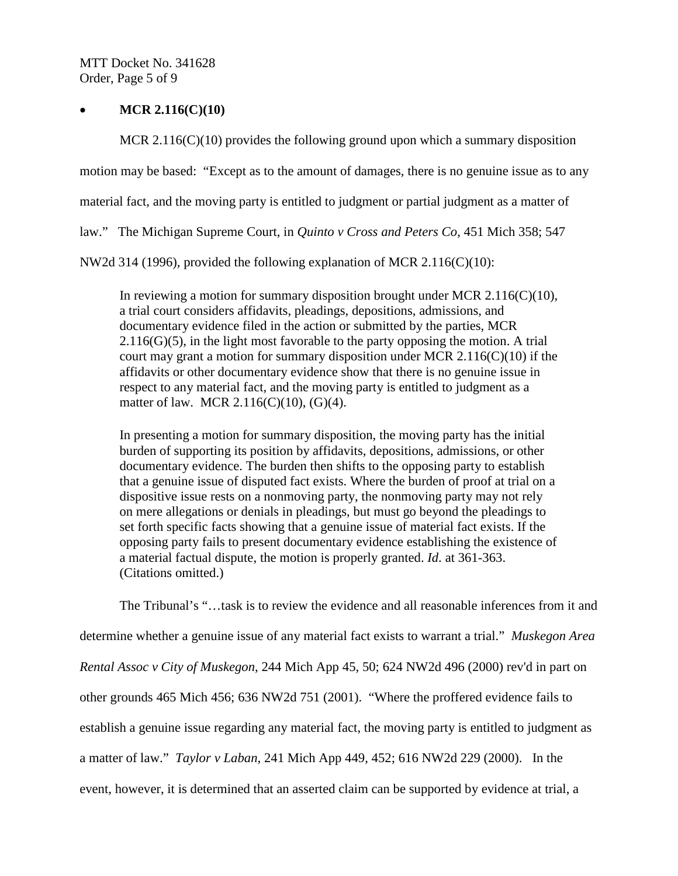MTT Docket No. 341628 Order, Page 5 of 9

#### • **MCR 2.116(C)(10)**

MCR 2.116(C)(10) provides the following ground upon which a summary disposition motion may be based: "Except as to the amount of damages, there is no genuine issue as to any material fact, and the moving party is entitled to judgment or partial judgment as a matter of law." The Michigan Supreme Court, in *Quinto v Cross and Peters Co*, 451 Mich 358; 547

NW2d 314 (1996), provided the following explanation of MCR 2.116(C)(10):

In reviewing a motion for summary disposition brought under MCR  $2.116(C)(10)$ , a trial court considers affidavits, pleadings, depositions, admissions, and documentary evidence filed in the action or submitted by the parties, MCR  $2.116(G)(5)$ , in the light most favorable to the party opposing the motion. A trial court may grant a motion for summary disposition under MCR  $2.116(C)(10)$  if the affidavits or other documentary evidence show that there is no genuine issue in respect to any material fact, and the moving party is entitled to judgment as a matter of law. [MCR 2.116\(C\)\(10\), \(G\)\(4\).](http://web2.westlaw.com/find/default.wl?DB=1005563&DocName=MIRRCPMCR2%2E116&FindType=L&AP=&mt=Michigan&fn=_top&sv=Split&utid=%7bDFF19A2E-D0FD-4F17-81A4-E077C9E90E07%7d&vr=2.0&rs=WLW5.02)

In presenting a motion for summary disposition, the moving party has the initial burden of supporting its position by affidavits, depositions, admissions, or other documentary evidence. The burden then shifts to the opposing party to establish that a genuine issue of disputed fact exists. Where the burden of proof at trial on a dispositive issue rests on a nonmoving party, the nonmoving party may not rely on mere allegations or denials in pleadings, but must go beyond the pleadings to set forth specific facts showing that a genuine issue of material fact exists. If the opposing party fails to present documentary evidence establishing the existence of a material factual dispute, the motion is properly granted. *Id*. at 361-363. (Citations omitted.)

The Tribunal's "…task is to review the evidence and all reasonable inferences from it and determine whether a genuine issue of any material fact exists to warrant a trial." *Muskegon Area Rental Assoc v City of Muskegon*, 244 Mich App 45, 50; 624 NW2d 496 (2000) rev'd in part on other grounds 465 Mich 456; 636 NW2d 751 (2001). "Where the proffered evidence fails to establish a genuine issue regarding any material fact, the moving party is entitled to judgment as a matter of law." *Taylor v Laban*, 241 Mich App 449, 452; 616 NW2d 229 (2000). In the event, however, it is determined that an asserted claim can be supported by evidence at trial, a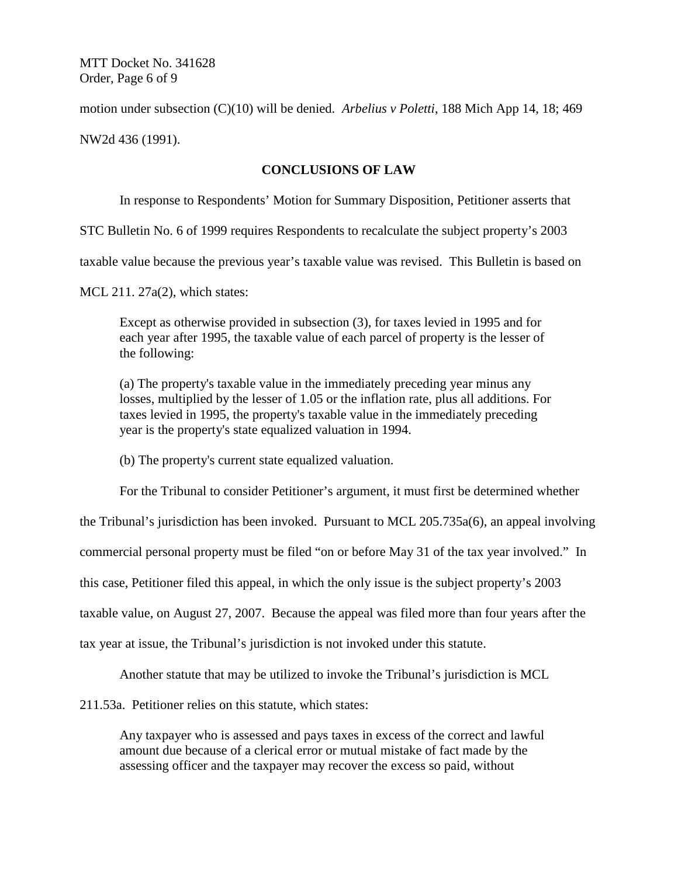MTT Docket No. 341628 Order, Page 6 of 9

motion under subsection (C)(10) will be denied. *Arbelius v Poletti*, 188 Mich App 14, 18; 469

NW2d 436 (1991).

### **CONCLUSIONS OF LAW**

In response to Respondents' Motion for Summary Disposition, Petitioner asserts that

STC Bulletin No. 6 of 1999 requires Respondents to recalculate the subject property's 2003

taxable value because the previous year's taxable value was revised. This Bulletin is based on

MCL 211. 27a(2), which states:

Except as otherwise provided in subsection (3), for taxes levied in 1995 and for each year after 1995, the taxable value of each parcel of property is the lesser of the following:

(a) The property's taxable value in the immediately preceding year minus any losses, multiplied by the lesser of 1.05 or the inflation rate, plus all additions. For taxes levied in 1995, the property's taxable value in the immediately preceding year is the property's state equalized valuation in 1994.

(b) The property's current state equalized valuation.

For the Tribunal to consider Petitioner's argument, it must first be determined whether

the Tribunal's jurisdiction has been invoked. Pursuant to MCL 205.735a(6), an appeal involving

commercial personal property must be filed "on or before May 31 of the tax year involved." In

this case, Petitioner filed this appeal, in which the only issue is the subject property's 2003

taxable value, on August 27, 2007. Because the appeal was filed more than four years after the

tax year at issue, the Tribunal's jurisdiction is not invoked under this statute.

Another statute that may be utilized to invoke the Tribunal's jurisdiction is MCL

211.53a. Petitioner relies on this statute, which states:

Any taxpayer who is assessed and pays taxes in excess of the correct and lawful amount due because of a clerical error or mutual mistake of fact made by the assessing officer and the taxpayer may recover the excess so paid, without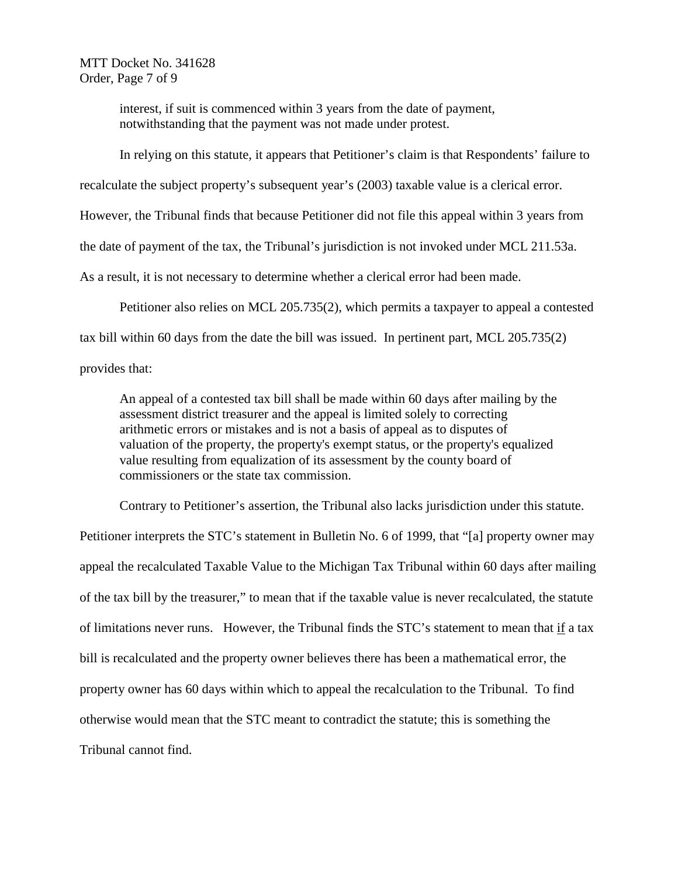MTT Docket No. 341628 Order, Page 7 of 9

> interest, if suit is commenced within 3 years from the date of payment, notwithstanding that the payment was not made under protest.

In relying on this statute, it appears that Petitioner's claim is that Respondents' failure to

recalculate the subject property's subsequent year's (2003) taxable value is a clerical error.

However, the Tribunal finds that because Petitioner did not file this appeal within 3 years from

the date of payment of the tax, the Tribunal's jurisdiction is not invoked under MCL 211.53a.

As a result, it is not necessary to determine whether a clerical error had been made.

Petitioner also relies on MCL 205.735(2), which permits a taxpayer to appeal a contested tax bill within 60 days from the date the bill was issued. In pertinent part, MCL 205.735(2)

provides that:

An appeal of a contested tax bill shall be made within 60 days after mailing by the assessment district treasurer and the appeal is limited solely to correcting arithmetic errors or mistakes and is not a basis of appeal as to disputes of valuation of the property, the property's exempt status, or the property's equalized value resulting from equalization of its assessment by the county board of commissioners or the state tax commission.

Contrary to Petitioner's assertion, the Tribunal also lacks jurisdiction under this statute.

Petitioner interprets the STC's statement in Bulletin No. 6 of 1999, that "[a] property owner may appeal the recalculated Taxable Value to the Michigan Tax Tribunal within 60 days after mailing of the tax bill by the treasurer," to mean that if the taxable value is never recalculated, the statute of limitations never runs. However, the Tribunal finds the STC's statement to mean that  $\underline{if}$  a tax bill is recalculated and the property owner believes there has been a mathematical error, the property owner has 60 days within which to appeal the recalculation to the Tribunal. To find otherwise would mean that the STC meant to contradict the statute; this is something the Tribunal cannot find.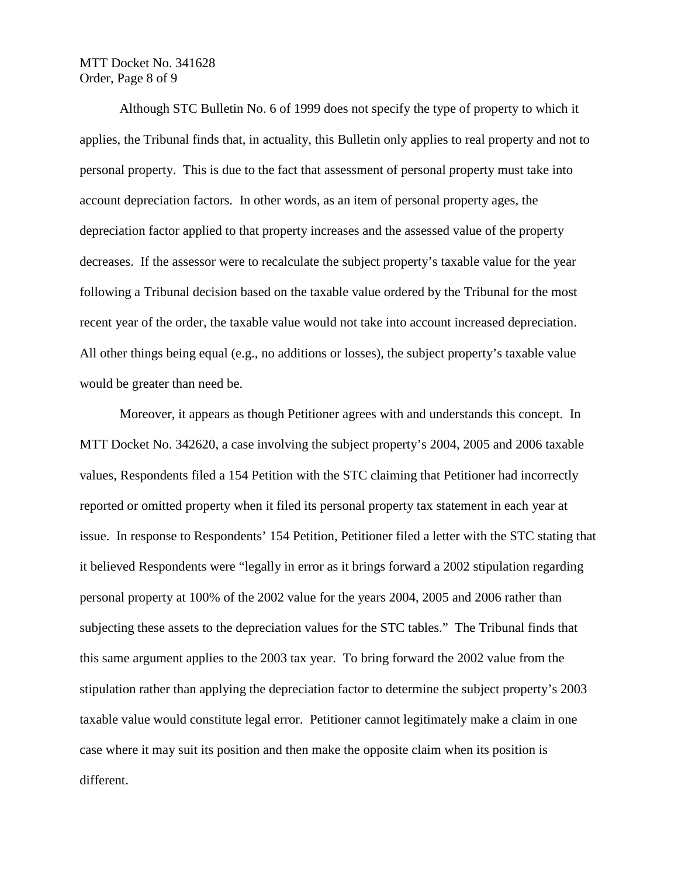### MTT Docket No. 341628 Order, Page 8 of 9

Although STC Bulletin No. 6 of 1999 does not specify the type of property to which it applies, the Tribunal finds that, in actuality, this Bulletin only applies to real property and not to personal property. This is due to the fact that assessment of personal property must take into account depreciation factors. In other words, as an item of personal property ages, the depreciation factor applied to that property increases and the assessed value of the property decreases. If the assessor were to recalculate the subject property's taxable value for the year following a Tribunal decision based on the taxable value ordered by the Tribunal for the most recent year of the order, the taxable value would not take into account increased depreciation. All other things being equal (e.g., no additions or losses), the subject property's taxable value would be greater than need be.

Moreover, it appears as though Petitioner agrees with and understands this concept. In MTT Docket No. 342620, a case involving the subject property's 2004, 2005 and 2006 taxable values, Respondents filed a 154 Petition with the STC claiming that Petitioner had incorrectly reported or omitted property when it filed its personal property tax statement in each year at issue. In response to Respondents' 154 Petition, Petitioner filed a letter with the STC stating that it believed Respondents were "legally in error as it brings forward a 2002 stipulation regarding personal property at 100% of the 2002 value for the years 2004, 2005 and 2006 rather than subjecting these assets to the depreciation values for the STC tables." The Tribunal finds that this same argument applies to the 2003 tax year. To bring forward the 2002 value from the stipulation rather than applying the depreciation factor to determine the subject property's 2003 taxable value would constitute legal error. Petitioner cannot legitimately make a claim in one case where it may suit its position and then make the opposite claim when its position is different.